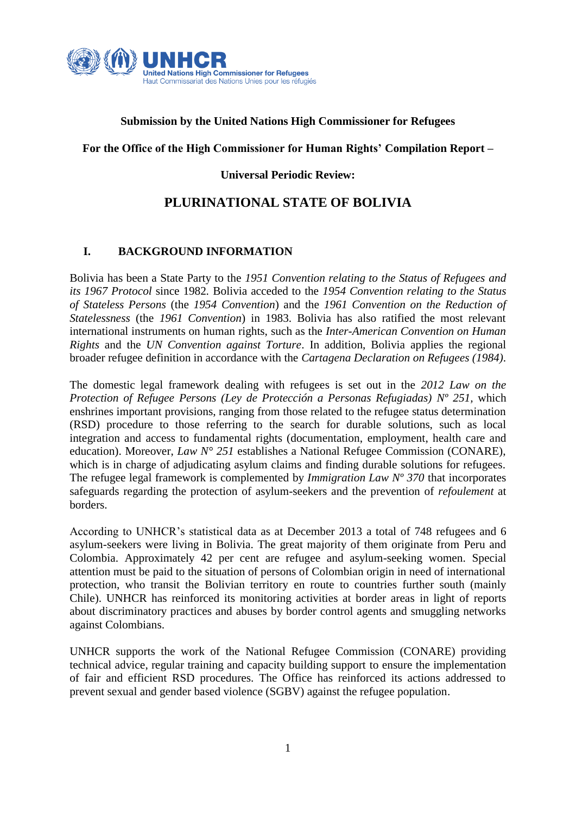

## **Submission by the United Nations High Commissioner for Refugees**

## **For the Office of the High Commissioner for Human Rights' Compilation Report –**

## **Universal Periodic Review:**

# **PLURINATIONAL STATE OF BOLIVIA**

## **I. BACKGROUND INFORMATION**

Bolivia has been a State Party to the *1951 Convention relating to the Status of Refugees and its 1967 Protocol* since 1982*.* Bolivia acceded to the *1954 Convention relating to the Status of Stateless Persons* (the *1954 Convention*) and the *1961 Convention on the Reduction of Statelessness* (the *1961 Convention*) in 1983. Bolivia has also ratified the most relevant international instruments on human rights, such as the *Inter-American Convention on Human Rights* and the *UN Convention against Torture*. In addition, Bolivia applies the regional broader refugee definition in accordance with the *Cartagena Declaration on Refugees (1984)*.

The domestic legal framework dealing with refugees is set out in the *2012 Law on the Protection of Refugee Persons (Ley de Protección a Personas Refugiadas) Nº 251,* which enshrines important provisions, ranging from those related to the refugee status determination (RSD) procedure to those referring to the search for durable solutions, such as local integration and access to fundamental rights (documentation, employment, health care and education). Moreover, *Law N° 251* establishes a National Refugee Commission (CONARE), which is in charge of adjudicating asylum claims and finding durable solutions for refugees. The refugee legal framework is complemented by *Immigration Law Nº 370* that incorporates safeguards regarding the protection of asylum-seekers and the prevention of *refoulement* at borders.

According to UNHCR's statistical data as at December 2013 a total of 748 refugees and 6 asylum-seekers were living in Bolivia. The great majority of them originate from Peru and Colombia. Approximately 42 per cent are refugee and asylum-seeking women. Special attention must be paid to the situation of persons of Colombian origin in need of international protection, who transit the Bolivian territory en route to countries further south (mainly Chile). UNHCR has reinforced its monitoring activities at border areas in light of reports about discriminatory practices and abuses by border control agents and smuggling networks against Colombians.

UNHCR supports the work of the National Refugee Commission (CONARE) providing technical advice, regular training and capacity building support to ensure the implementation of fair and efficient RSD procedures. The Office has reinforced its actions addressed to prevent sexual and gender based violence (SGBV) against the refugee population.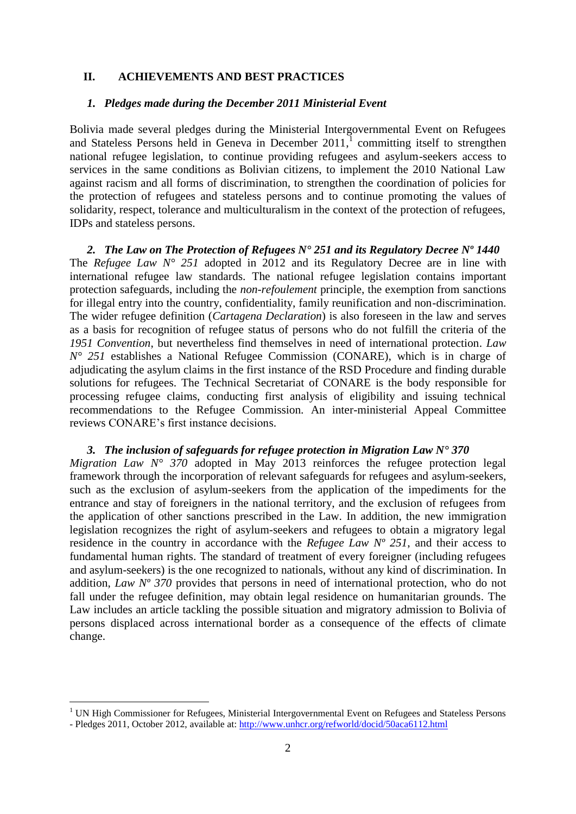#### **II. ACHIEVEMENTS AND BEST PRACTICES**

#### *1. Pledges made during the December 2011 Ministerial Event*

Bolivia made several pledges during the Ministerial Intergovernmental Event on Refugees and Stateless Persons held in Geneva in December 2011, 1 committing itself to strengthen national refugee legislation, to continue providing refugees and asylum-seekers access to services in the same conditions as Bolivian citizens, to implement the 2010 National Law against racism and all forms of discrimination, to strengthen the coordination of policies for the protection of refugees and stateless persons and to continue promoting the values of solidarity, respect, tolerance and multiculturalism in the context of the protection of refugees, IDPs and stateless persons.

*2. The Law on The Protection of Refugees N° 251 and its Regulatory Decree Nº 1440* The *Refugee Law N° 251* adopted in 2012 and its Regulatory Decree are in line with international refugee law standards. The national refugee legislation contains important protection safeguards, including the *non-refoulement* principle, the exemption from sanctions for illegal entry into the country, confidentiality, family reunification and non-discrimination. The wider refugee definition (*Cartagena Declaration*) is also foreseen in the law and serves as a basis for recognition of refugee status of persons who do not fulfill the criteria of the *1951 Convention*, but nevertheless find themselves in need of international protection. *Law N° 251* establishes a National Refugee Commission (CONARE), which is in charge of adjudicating the asylum claims in the first instance of the RSD Procedure and finding durable solutions for refugees. The Technical Secretariat of CONARE is the body responsible for processing refugee claims, conducting first analysis of eligibility and issuing technical recommendations to the Refugee Commission. An inter-ministerial Appeal Committee reviews CONARE's first instance decisions.

#### *3. The inclusion of safeguards for refugee protection in Migration Law N° 370*

*Migration Law N° 370* adopted in May 2013 reinforces the refugee protection legal framework through the incorporation of relevant safeguards for refugees and asylum-seekers, such as the exclusion of asylum-seekers from the application of the impediments for the entrance and stay of foreigners in the national territory, and the exclusion of refugees from the application of other sanctions prescribed in the Law. In addition, the new immigration legislation recognizes the right of asylum-seekers and refugees to obtain a migratory legal residence in the country in accordance with the *Refugee Law Nº 251*, and their access to fundamental human rights. The standard of treatment of every foreigner (including refugees and asylum-seekers) is the one recognized to nationals, without any kind of discrimination. In addition, *Law Nº 370* provides that persons in need of international protection, who do not fall under the refugee definition, may obtain legal residence on humanitarian grounds. The Law includes an article tackling the possible situation and migratory admission to Bolivia of persons displaced across international border as a consequence of the effects of climate change.

<u>.</u>

 $<sup>1</sup>$  UN High Commissioner for Refugees, Ministerial Intergovernmental Event on Refugees and Stateless Persons</sup>

<sup>-</sup> Pledges 2011, October 2012, available at:<http://www.unhcr.org/refworld/docid/50aca6112.html>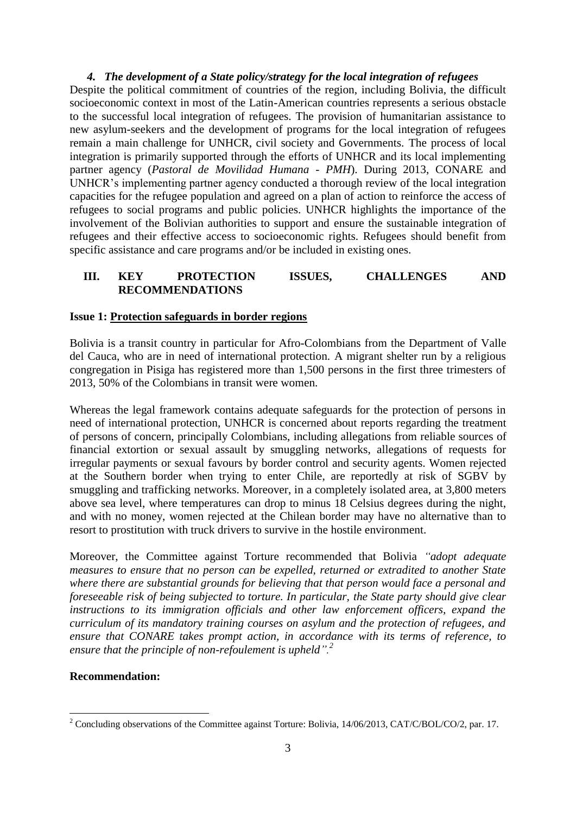## *4. The development of a State policy/strategy for the local integration of refugees*

Despite the political commitment of countries of the region, including Bolivia, the difficult socioeconomic context in most of the Latin-American countries represents a serious obstacle to the successful local integration of refugees. The provision of humanitarian assistance to new asylum-seekers and the development of programs for the local integration of refugees remain a main challenge for UNHCR, civil society and Governments. The process of local integration is primarily supported through the efforts of UNHCR and its local implementing partner agency (*Pastoral de Movilidad Humana - PMH*). During 2013, CONARE and UNHCR's implementing partner agency conducted a thorough review of the local integration capacities for the refugee population and agreed on a plan of action to reinforce the access of refugees to social programs and public policies. UNHCR highlights the importance of the involvement of the Bolivian authorities to support and ensure the sustainable integration of refugees and their effective access to socioeconomic rights. Refugees should benefit from specific assistance and care programs and/or be included in existing ones.

## **III. KEY PROTECTION ISSUES, CHALLENGES AND RECOMMENDATIONS**

### **Issue 1: Protection safeguards in border regions**

Bolivia is a transit country in particular for Afro-Colombians from the Department of Valle del Cauca, who are in need of international protection. A migrant shelter run by a religious congregation in Pisiga has registered more than 1,500 persons in the first three trimesters of 2013, 50% of the Colombians in transit were women.

Whereas the legal framework contains adequate safeguards for the protection of persons in need of international protection, UNHCR is concerned about reports regarding the treatment of persons of concern, principally Colombians, including allegations from reliable sources of financial extortion or sexual assault by smuggling networks, allegations of requests for irregular payments or sexual favours by border control and security agents. Women rejected at the Southern border when trying to enter Chile, are reportedly at risk of SGBV by smuggling and trafficking networks. Moreover, in a completely isolated area, at 3,800 meters above sea level, where temperatures can drop to minus 18 Celsius degrees during the night, and with no money, women rejected at the Chilean border may have no alternative than to resort to prostitution with truck drivers to survive in the hostile environment.

Moreover, the Committee against Torture recommended that Bolivia *"adopt adequate measures to ensure that no person can be expelled, returned or extradited to another State where there are substantial grounds for believing that that person would face a personal and foreseeable risk of being subjected to torture. In particular, the State party should give clear instructions to its immigration officials and other law enforcement officers, expand the curriculum of its mandatory training courses on asylum and the protection of refugees, and ensure that CONARE takes prompt action, in accordance with its terms of reference, to ensure that the principle of non-refoulement is upheld".<sup>2</sup>*

## **Recommendation:**

1

<sup>&</sup>lt;sup>2</sup> Concluding observations of the Committee against Torture: Bolivia, 14/06/2013, CAT/C/BOL/CO/2, par. 17.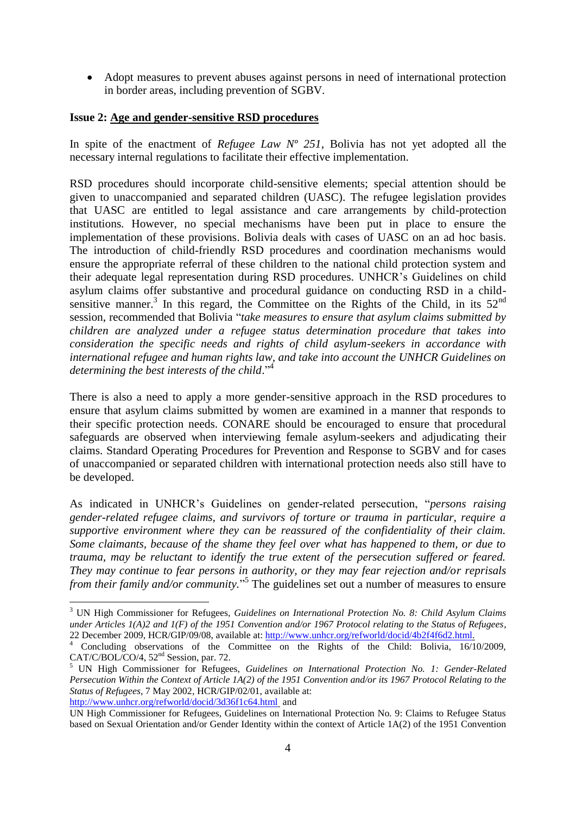Adopt measures to prevent abuses against persons in need of international protection in border areas, including prevention of SGBV.

#### **Issue 2: Age and gender-sensitive RSD procedures**

1

In spite of the enactment of *Refugee Law Nº 251*, Bolivia has not yet adopted all the necessary internal regulations to facilitate their effective implementation.

RSD procedures should incorporate child-sensitive elements; special attention should be given to unaccompanied and separated children (UASC). The refugee legislation provides that UASC are entitled to legal assistance and care arrangements by child-protection institutions. However, no special mechanisms have been put in place to ensure the implementation of these provisions. Bolivia deals with cases of UASC on an ad hoc basis. The introduction of child-friendly RSD procedures and coordination mechanisms would ensure the appropriate referral of these children to the national child protection system and their adequate legal representation during RSD procedures. UNHCR's Guidelines on child asylum claims offer substantive and procedural guidance on conducting RSD in a childsensitive manner.<sup>3</sup> In this regard, the Committee on the Rights of the Child, in its  $52<sup>nd</sup>$ session, recommended that Bolivia "*take measures to ensure that asylum claims submitted by children are analyzed under a refugee status determination procedure that takes into consideration the specific needs and rights of child asylum-seekers in accordance with international refugee and human rights law, and take into account the UNHCR Guidelines on determining the best interests of the child*." 4

There is also a need to apply a more gender-sensitive approach in the RSD procedures to ensure that asylum claims submitted by women are examined in a manner that responds to their specific protection needs. CONARE should be encouraged to ensure that procedural safeguards are observed when interviewing female asylum-seekers and adjudicating their claims. Standard Operating Procedures for Prevention and Response to SGBV and for cases of unaccompanied or separated children with international protection needs also still have to be developed.

As indicated in UNHCR's Guidelines on gender-related persecution, "*persons raising gender-related refugee claims, and survivors of torture or trauma in particular, require a supportive environment where they can be reassured of the confidentiality of their claim. Some claimants, because of the shame they feel over what has happened to them, or due to trauma, may be reluctant to identify the true extent of the persecution suffered or feared. They may continue to fear persons in authority, or they may fear rejection and/or reprisals*  from their family and/or community."<sup>5</sup> The guidelines set out a number of measures to ensure

<sup>3</sup> UN High Commissioner for Refugees, *Guidelines on International Protection No. 8: Child Asylum Claims under Articles 1(A)2 and 1(F) of the 1951 Convention and/or 1967 Protocol relating to the Status of Refugees*, 22 December 2009, HCR/GIP/09/08, available at: [http://www.unhcr.org/refworld/docid/4b2f4f6d2.html.](http://www.unhcr.org/refworld/docid/4b2f4f6d2.html) 

<sup>4</sup> Concluding observations of the Committee on the Rights of the Child: Bolivia, 16/10/2009, CAT/C/BOL/CO/4, 52<sup>nd</sup> Session, par. 72.

<sup>5</sup> UN High Commissioner for Refugees, *Guidelines on International Protection No. 1: Gender-Related Persecution Within the Context of Article 1A(2) of the 1951 Convention and/or its 1967 Protocol Relating to the Status of Refugees*, 7 May 2002, HCR/GIP/02/01, available at: <http://www.unhcr.org/refworld/docid/3d36f1c64.html> and

UN High Commissioner for Refugees, Guidelines on International Protection No. 9: Claims to Refugee Status based on Sexual Orientation and/or Gender Identity within the context of Article 1A(2) of the 1951 Convention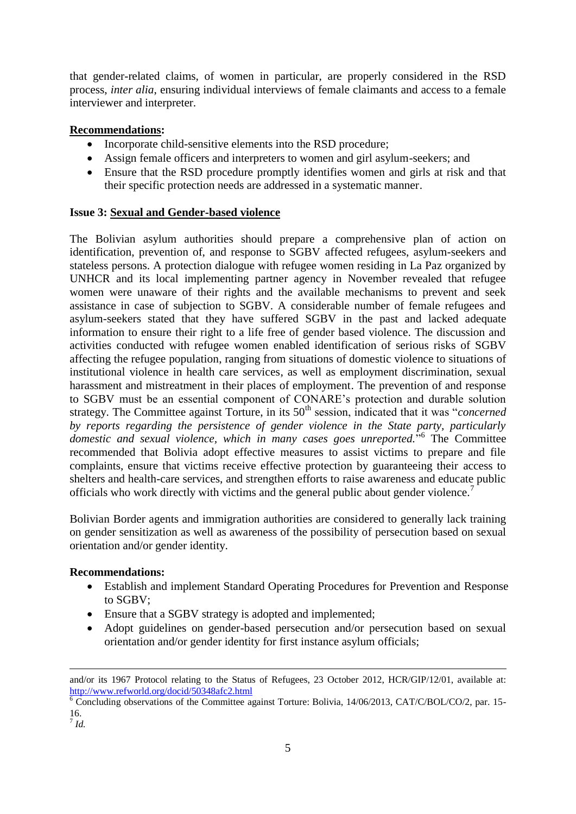that gender-related claims, of women in particular, are properly considered in the RSD process, *inter alia*, ensuring individual interviews of female claimants and access to a female interviewer and interpreter.

## **Recommendations:**

- Incorporate child-sensitive elements into the RSD procedure;
- Assign female officers and interpreters to women and girl asylum-seekers; and
- Ensure that the RSD procedure promptly identifies women and girls at risk and that their specific protection needs are addressed in a systematic manner.

## **Issue 3: Sexual and Gender-based violence**

The Bolivian asylum authorities should prepare a comprehensive plan of action on identification, prevention of, and response to SGBV affected refugees, asylum-seekers and stateless persons. A protection dialogue with refugee women residing in La Paz organized by UNHCR and its local implementing partner agency in November revealed that refugee women were unaware of their rights and the available mechanisms to prevent and seek assistance in case of subjection to SGBV. A considerable number of female refugees and asylum-seekers stated that they have suffered SGBV in the past and lacked adequate information to ensure their right to a life free of gender based violence. The discussion and activities conducted with refugee women enabled identification of serious risks of SGBV affecting the refugee population, ranging from situations of domestic violence to situations of institutional violence in health care services, as well as employment discrimination, sexual harassment and mistreatment in their places of employment. The prevention of and response to SGBV must be an essential component of CONARE's protection and durable solution strategy. The Committee against Torture, in its 50<sup>th</sup> session, indicated that it was "*concerned by reports regarding the persistence of gender violence in the State party, particularly* domestic and sexual violence, which in many cases goes unreported.<sup>56</sup> The Committee recommended that Bolivia adopt effective measures to assist victims to prepare and file complaints, ensure that victims receive effective protection by guaranteeing their access to shelters and health-care services, and strengthen efforts to raise awareness and educate public officials who work directly with victims and the general public about gender violence.<sup>7</sup>

Bolivian Border agents and immigration authorities are considered to generally lack training on gender sensitization as well as awareness of the possibility of persecution based on sexual orientation and/or gender identity.

## **Recommendations:**

- Establish and implement Standard Operating Procedures for Prevention and Response to SGBV;
- Ensure that a SGBV strategy is adopted and implemented;
- Adopt guidelines on gender-based persecution and/or persecution based on sexual orientation and/or gender identity for first instance asylum officials;

1

and/or its 1967 Protocol relating to the Status of Refugees, 23 October 2012, HCR/GIP/12/01, available at: <http://www.refworld.org/docid/50348afc2.html>

 $\overline{6}$  Concluding observations of the Committee against Torture: Bolivia, 14/06/2013, CAT/C/BOL/CO/2, par. 15-16.

<sup>7</sup> *Id.*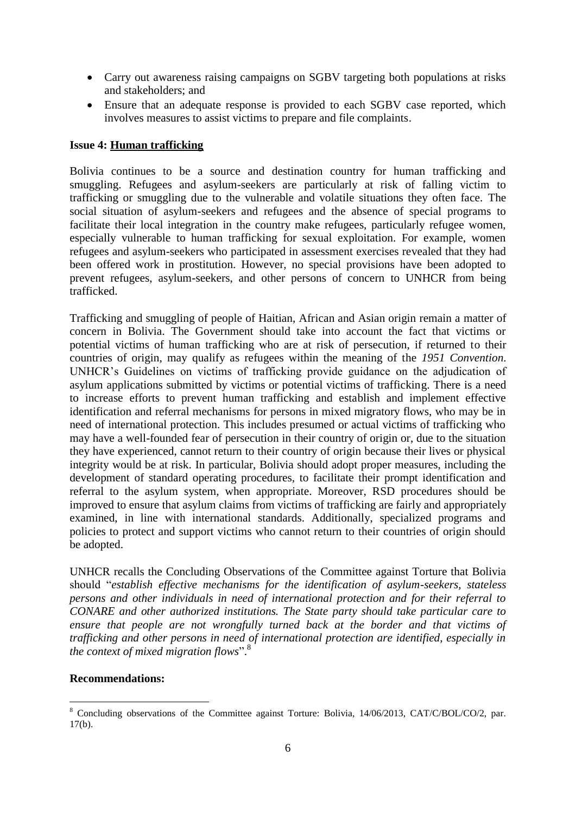- Carry out awareness raising campaigns on SGBV targeting both populations at risks and stakeholders; and
- Ensure that an adequate response is provided to each SGBV case reported, which involves measures to assist victims to prepare and file complaints.

### **Issue 4: Human trafficking**

Bolivia continues to be a source and destination country for human trafficking and smuggling. Refugees and asylum-seekers are particularly at risk of falling victim to trafficking or smuggling due to the vulnerable and volatile situations they often face. The social situation of asylum-seekers and refugees and the absence of special programs to facilitate their local integration in the country make refugees, particularly refugee women, especially vulnerable to human trafficking for sexual exploitation. For example, women refugees and asylum-seekers who participated in assessment exercises revealed that they had been offered work in prostitution. However, no special provisions have been adopted to prevent refugees, asylum-seekers, and other persons of concern to UNHCR from being trafficked.

Trafficking and smuggling of people of Haitian, African and Asian origin remain a matter of concern in Bolivia. The Government should take into account the fact that victims or potential victims of human trafficking who are at risk of persecution, if returned to their countries of origin, may qualify as refugees within the meaning of the *1951 Convention*. UNHCR's Guidelines on victims of trafficking provide guidance on the adjudication of asylum applications submitted by victims or potential victims of trafficking. There is a need to increase efforts to prevent human trafficking and establish and implement effective identification and referral mechanisms for persons in mixed migratory flows, who may be in need of international protection. This includes presumed or actual victims of trafficking who may have a well-founded fear of persecution in their country of origin or, due to the situation they have experienced, cannot return to their country of origin because their lives or physical integrity would be at risk. In particular, Bolivia should adopt proper measures, including the development of standard operating procedures, to facilitate their prompt identification and referral to the asylum system, when appropriate. Moreover, RSD procedures should be improved to ensure that asylum claims from victims of trafficking are fairly and appropriately examined, in line with international standards. Additionally, specialized programs and policies to protect and support victims who cannot return to their countries of origin should be adopted.

UNHCR recalls the Concluding Observations of the Committee against Torture that Bolivia should "*establish effective mechanisms for the identification of asylum-seekers, stateless persons and other individuals in need of international protection and for their referral to CONARE and other authorized institutions. The State party should take particular care to ensure that people are not wrongfully turned back at the border and that victims of trafficking and other persons in need of international protection are identified, especially in the context of mixed migration flows*". 8

## **Recommendations:**

<u>.</u>

<sup>&</sup>lt;sup>8</sup> Concluding observations of the Committee against Torture: Bolivia, 14/06/2013, CAT/C/BOL/CO/2, par.  $17(b)$ .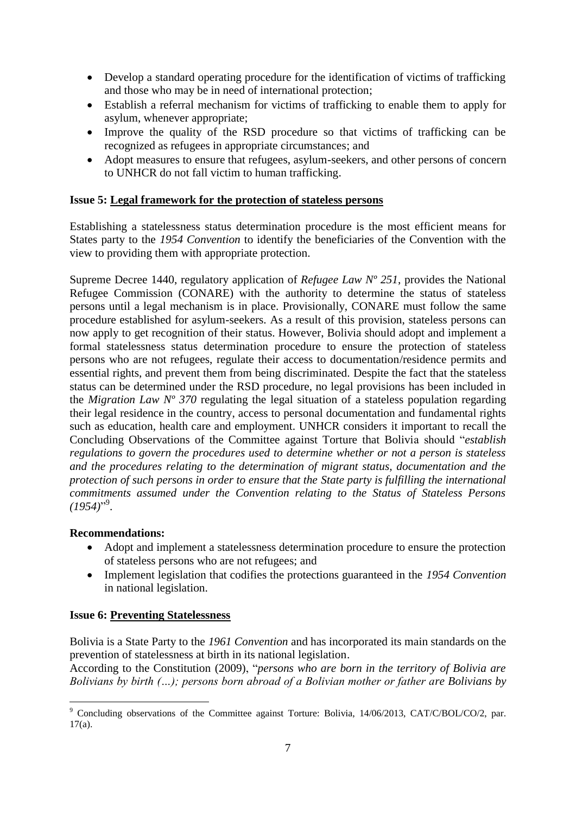- Develop a standard operating procedure for the identification of victims of trafficking and those who may be in need of international protection;
- Establish a referral mechanism for victims of trafficking to enable them to apply for asylum, whenever appropriate;
- Improve the quality of the RSD procedure so that victims of trafficking can be recognized as refugees in appropriate circumstances; and
- Adopt measures to ensure that refugees, asylum-seekers, and other persons of concern to UNHCR do not fall victim to human trafficking.

## **Issue 5: Legal framework for the protection of stateless persons**

Establishing a statelessness status determination procedure is the most efficient means for States party to the *1954 Convention* to identify the beneficiaries of the Convention with the view to providing them with appropriate protection.

Supreme Decree 1440, regulatory application of *Refugee Law Nº 251*, provides the National Refugee Commission (CONARE) with the authority to determine the status of stateless persons until a legal mechanism is in place. Provisionally, CONARE must follow the same procedure established for asylum-seekers. As a result of this provision, stateless persons can now apply to get recognition of their status. However, Bolivia should adopt and implement a formal statelessness status determination procedure to ensure the protection of stateless persons who are not refugees, regulate their access to documentation/residence permits and essential rights, and prevent them from being discriminated. Despite the fact that the stateless status can be determined under the RSD procedure, no legal provisions has been included in the *Migration Law Nº 370* regulating the legal situation of a stateless population regarding their legal residence in the country, access to personal documentation and fundamental rights such as education, health care and employment. UNHCR considers it important to recall the Concluding Observations of the Committee against Torture that Bolivia should "*establish regulations to govern the procedures used to determine whether or not a person is stateless and the procedures relating to the determination of migrant status, documentation and the protection of such persons in order to ensure that the State party is fulfilling the international commitments assumed under the Convention relating to the Status of Stateless Persons*   $(1954)$ <sup>"9</sup>.

## **Recommendations:**

- Adopt and implement a statelessness determination procedure to ensure the protection of stateless persons who are not refugees; and
- Implement legislation that codifies the protections guaranteed in the *1954 Convention* in national legislation.

## **Issue 6: Preventing Statelessness**

Bolivia is a State Party to the *1961 Convention* and has incorporated its main standards on the prevention of statelessness at birth in its national legislation.

According to the Constitution (2009), "*persons who are born in the territory of Bolivia are Bolivians by birth (…); persons born abroad of a Bolivian mother or father are Bolivians by* 

<sup>&</sup>lt;u>.</u> <sup>9</sup> Concluding observations of the Committee against Torture: Bolivia, 14/06/2013, CAT/C/BOL/CO/2, par.  $17(a)$ .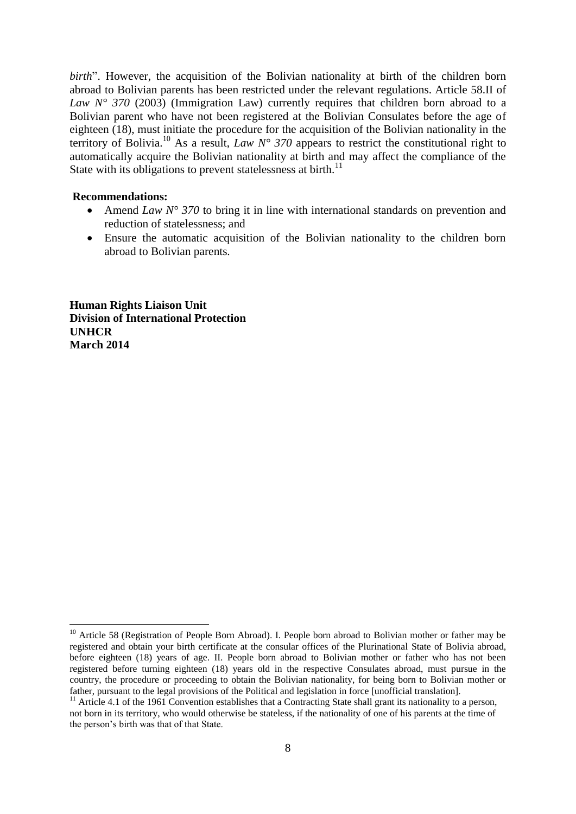*birth*". However, the acquisition of the Bolivian nationality at birth of the children born abroad to Bolivian parents has been restricted under the relevant regulations. Article 58.II of *Law N° 370 (2003)* (Immigration Law) currently requires that children born abroad to a Bolivian parent who have not been registered at the Bolivian Consulates before the age of eighteen (18), must initiate the procedure for the acquisition of the Bolivian nationality in the territory of Bolivia.<sup>10</sup> As a result, *Law N° 370* appears to restrict the constitutional right to automatically acquire the Bolivian nationality at birth and may affect the compliance of the State with its obligations to prevent statelessness at birth.<sup>11</sup>

#### **Recommendations:**

1

- Amend *Law N° 370* to bring it in line with international standards on prevention and reduction of statelessness; and
- Ensure the automatic acquisition of the Bolivian nationality to the children born abroad to Bolivian parents.

**Human Rights Liaison Unit Division of International Protection UNHCR March 2014**

<sup>&</sup>lt;sup>10</sup> Article 58 (Registration of People Born Abroad). I. People born abroad to Bolivian mother or father may be registered and obtain your birth certificate at the consular offices of the Plurinational State of Bolivia abroad, before eighteen (18) years of age. II. People born abroad to Bolivian mother or father who has not been registered before turning eighteen (18) years old in the respective Consulates abroad, must pursue in the country, the procedure or proceeding to obtain the Bolivian nationality, for being born to Bolivian mother or father, pursuant to the legal provisions of the Political and legislation in force [unofficial translation].

<sup>&</sup>lt;sup>11</sup> Article 4.1 of the 1961 Convention establishes that a Contracting State shall grant its nationality to a person, not born in its territory, who would otherwise be stateless, if the nationality of one of his parents at the time of the person's birth was that of that State.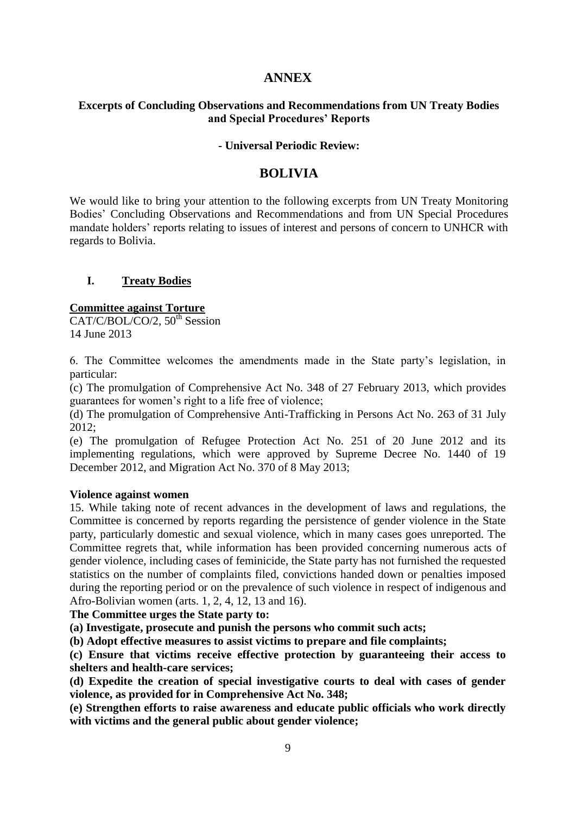## **ANNEX**

## **Excerpts of Concluding Observations and Recommendations from UN Treaty Bodies and Special Procedures' Reports**

## **- Universal Periodic Review:**

## **BOLIVIA**

We would like to bring your attention to the following excerpts from UN Treaty Monitoring Bodies' Concluding Observations and Recommendations and from UN Special Procedures mandate holders' reports relating to issues of interest and persons of concern to UNHCR with regards to Bolivia.

## **I. Treaty Bodies**

### **Committee against Torture**

 $CAT/CAO/LCO/2$ ,  $50<sup>th</sup> Session$ 14 June 2013

6. The Committee welcomes the amendments made in the State party's legislation, in particular:

(c) The promulgation of Comprehensive Act No. 348 of 27 February 2013, which provides guarantees for women's right to a life free of violence;

(d) The promulgation of Comprehensive Anti-Trafficking in Persons Act No. 263 of 31 July 2012;

(e) The promulgation of Refugee Protection Act No. 251 of 20 June 2012 and its implementing regulations, which were approved by Supreme Decree No. 1440 of 19 December 2012, and Migration Act No. 370 of 8 May 2013;

#### **Violence against women**

15. While taking note of recent advances in the development of laws and regulations, the Committee is concerned by reports regarding the persistence of gender violence in the State party, particularly domestic and sexual violence, which in many cases goes unreported. The Committee regrets that, while information has been provided concerning numerous acts of gender violence, including cases of feminicide, the State party has not furnished the requested statistics on the number of complaints filed, convictions handed down or penalties imposed during the reporting period or on the prevalence of such violence in respect of indigenous and Afro-Bolivian women (arts. 1, 2, 4, 12, 13 and 16).

**The Committee urges the State party to:**

**(a) Investigate, prosecute and punish the persons who commit such acts;**

**(b) Adopt effective measures to assist victims to prepare and file complaints;**

**(c) Ensure that victims receive effective protection by guaranteeing their access to shelters and health-care services;**

**(d) Expedite the creation of special investigative courts to deal with cases of gender violence, as provided for in Comprehensive Act No. 348;**

**(e) Strengthen efforts to raise awareness and educate public officials who work directly with victims and the general public about gender violence;**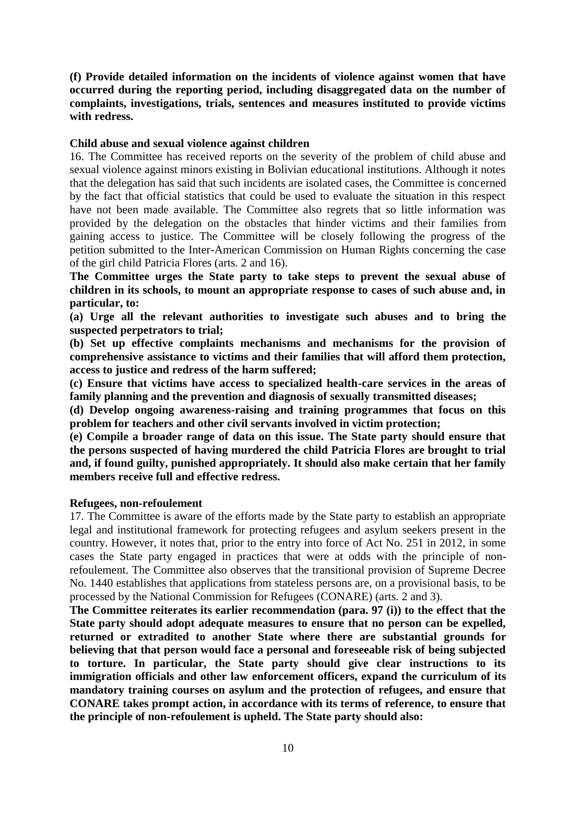**(f) Provide detailed information on the incidents of violence against women that have occurred during the reporting period, including disaggregated data on the number of complaints, investigations, trials, sentences and measures instituted to provide victims with redress.**

#### **Child abuse and sexual violence against children**

16. The Committee has received reports on the severity of the problem of child abuse and sexual violence against minors existing in Bolivian educational institutions. Although it notes that the delegation has said that such incidents are isolated cases, the Committee is concerned by the fact that official statistics that could be used to evaluate the situation in this respect have not been made available. The Committee also regrets that so little information was provided by the delegation on the obstacles that hinder victims and their families from gaining access to justice. The Committee will be closely following the progress of the petition submitted to the Inter-American Commission on Human Rights concerning the case of the girl child Patricia Flores (arts. 2 and 16).

**The Committee urges the State party to take steps to prevent the sexual abuse of children in its schools, to mount an appropriate response to cases of such abuse and, in particular, to:**

**(a) Urge all the relevant authorities to investigate such abuses and to bring the suspected perpetrators to trial;**

**(b) Set up effective complaints mechanisms and mechanisms for the provision of comprehensive assistance to victims and their families that will afford them protection, access to justice and redress of the harm suffered;**

**(c) Ensure that victims have access to specialized health-care services in the areas of family planning and the prevention and diagnosis of sexually transmitted diseases;**

**(d) Develop ongoing awareness-raising and training programmes that focus on this problem for teachers and other civil servants involved in victim protection;**

**(e) Compile a broader range of data on this issue. The State party should ensure that the persons suspected of having murdered the child Patricia Flores are brought to trial and, if found guilty, punished appropriately. It should also make certain that her family members receive full and effective redress.**

#### **Refugees, non-refoulement**

17. The Committee is aware of the efforts made by the State party to establish an appropriate legal and institutional framework for protecting refugees and asylum seekers present in the country. However, it notes that, prior to the entry into force of Act No. 251 in 2012, in some cases the State party engaged in practices that were at odds with the principle of nonrefoulement. The Committee also observes that the transitional provision of Supreme Decree No. 1440 establishes that applications from stateless persons are, on a provisional basis, to be processed by the National Commission for Refugees (CONARE) (arts. 2 and 3).

**The Committee reiterates its earlier recommendation (para. 97 (i)) to the effect that the State party should adopt adequate measures to ensure that no person can be expelled, returned or extradited to another State where there are substantial grounds for believing that that person would face a personal and foreseeable risk of being subjected to torture. In particular, the State party should give clear instructions to its immigration officials and other law enforcement officers, expand the curriculum of its mandatory training courses on asylum and the protection of refugees, and ensure that CONARE takes prompt action, in accordance with its terms of reference, to ensure that the principle of non-refoulement is upheld. The State party should also:**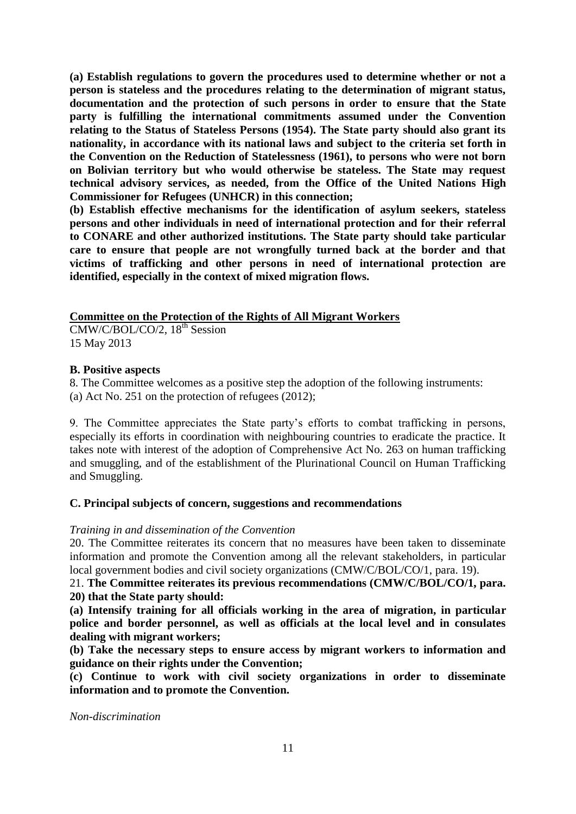**(a) Establish regulations to govern the procedures used to determine whether or not a person is stateless and the procedures relating to the determination of migrant status, documentation and the protection of such persons in order to ensure that the State party is fulfilling the international commitments assumed under the Convention relating to the Status of Stateless Persons (1954). The State party should also grant its nationality, in accordance with its national laws and subject to the criteria set forth in the Convention on the Reduction of Statelessness (1961), to persons who were not born on Bolivian territory but who would otherwise be stateless. The State may request technical advisory services, as needed, from the Office of the United Nations High Commissioner for Refugees (UNHCR) in this connection;** 

**(b) Establish effective mechanisms for the identification of asylum seekers, stateless persons and other individuals in need of international protection and for their referral to CONARE and other authorized institutions. The State party should take particular care to ensure that people are not wrongfully turned back at the border and that victims of trafficking and other persons in need of international protection are identified, especially in the context of mixed migration flows.**

### **Committee on the Protection of the Rights of All Migrant Workers**

 $CMW/C/BOL/CO/2$ , 18<sup>th</sup> Session 15 May 2013

## **B. Positive aspects**

8. The Committee welcomes as a positive step the adoption of the following instruments: (a) Act No. 251 on the protection of refugees (2012);

9. The Committee appreciates the State party's efforts to combat trafficking in persons, especially its efforts in coordination with neighbouring countries to eradicate the practice. It takes note with interest of the adoption of Comprehensive Act No. 263 on human trafficking and smuggling, and of the establishment of the Plurinational Council on Human Trafficking and Smuggling.

## **C. Principal subjects of concern, suggestions and recommendations**

## *Training in and dissemination of the Convention*

20. The Committee reiterates its concern that no measures have been taken to disseminate information and promote the Convention among all the relevant stakeholders, in particular local government bodies and civil society organizations (CMW/C/BOL/CO/1, para. 19).

21. **The Committee reiterates its previous recommendations (CMW/C/BOL/CO/1, para. 20) that the State party should:**

**(a) Intensify training for all officials working in the area of migration, in particular police and border personnel, as well as officials at the local level and in consulates dealing with migrant workers;**

**(b) Take the necessary steps to ensure access by migrant workers to information and guidance on their rights under the Convention;**

**(c) Continue to work with civil society organizations in order to disseminate information and to promote the Convention.**

*Non-discrimination*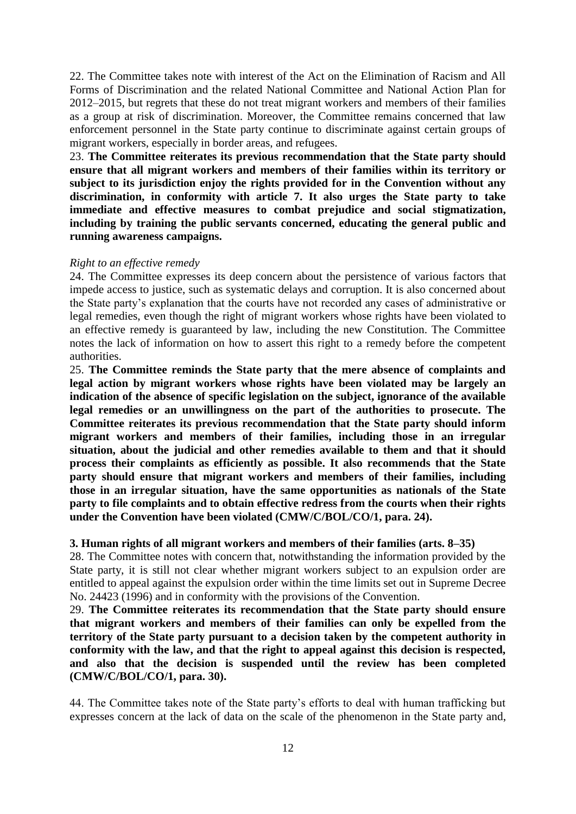22. The Committee takes note with interest of the Act on the Elimination of Racism and All Forms of Discrimination and the related National Committee and National Action Plan for 2012–2015, but regrets that these do not treat migrant workers and members of their families as a group at risk of discrimination. Moreover, the Committee remains concerned that law enforcement personnel in the State party continue to discriminate against certain groups of migrant workers, especially in border areas, and refugees.

23. **The Committee reiterates its previous recommendation that the State party should ensure that all migrant workers and members of their families within its territory or subject to its jurisdiction enjoy the rights provided for in the Convention without any discrimination, in conformity with article 7. It also urges the State party to take immediate and effective measures to combat prejudice and social stigmatization, including by training the public servants concerned, educating the general public and running awareness campaigns.**

#### *Right to an effective remedy*

24. The Committee expresses its deep concern about the persistence of various factors that impede access to justice, such as systematic delays and corruption. It is also concerned about the State party's explanation that the courts have not recorded any cases of administrative or legal remedies, even though the right of migrant workers whose rights have been violated to an effective remedy is guaranteed by law, including the new Constitution. The Committee notes the lack of information on how to assert this right to a remedy before the competent authorities.

25. **The Committee reminds the State party that the mere absence of complaints and legal action by migrant workers whose rights have been violated may be largely an indication of the absence of specific legislation on the subject, ignorance of the available legal remedies or an unwillingness on the part of the authorities to prosecute. The Committee reiterates its previous recommendation that the State party should inform migrant workers and members of their families, including those in an irregular situation, about the judicial and other remedies available to them and that it should process their complaints as efficiently as possible. It also recommends that the State party should ensure that migrant workers and members of their families, including those in an irregular situation, have the same opportunities as nationals of the State party to file complaints and to obtain effective redress from the courts when their rights under the Convention have been violated (CMW/C/BOL/CO/1, para. 24).**

#### **3. Human rights of all migrant workers and members of their families (arts. 8–35)**

28. The Committee notes with concern that, notwithstanding the information provided by the State party, it is still not clear whether migrant workers subject to an expulsion order are entitled to appeal against the expulsion order within the time limits set out in Supreme Decree No. 24423 (1996) and in conformity with the provisions of the Convention.

29. **The Committee reiterates its recommendation that the State party should ensure that migrant workers and members of their families can only be expelled from the territory of the State party pursuant to a decision taken by the competent authority in conformity with the law, and that the right to appeal against this decision is respected, and also that the decision is suspended until the review has been completed (CMW/C/BOL/CO/1, para. 30).**

44. The Committee takes note of the State party's efforts to deal with human trafficking but expresses concern at the lack of data on the scale of the phenomenon in the State party and,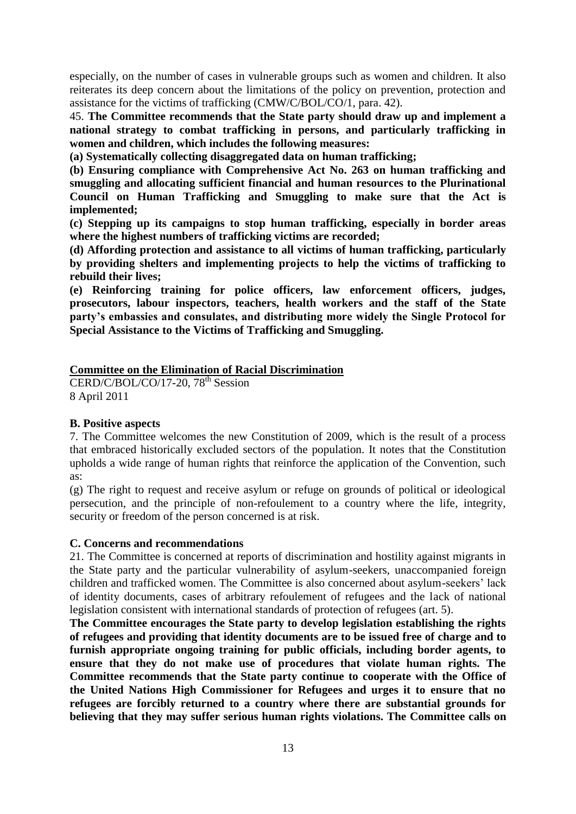especially, on the number of cases in vulnerable groups such as women and children. It also reiterates its deep concern about the limitations of the policy on prevention, protection and assistance for the victims of trafficking (CMW/C/BOL/CO/1, para. 42).

45. **The Committee recommends that the State party should draw up and implement a national strategy to combat trafficking in persons, and particularly trafficking in women and children, which includes the following measures:**

**(a) Systematically collecting disaggregated data on human trafficking;**

**(b) Ensuring compliance with Comprehensive Act No. 263 on human trafficking and smuggling and allocating sufficient financial and human resources to the Plurinational Council on Human Trafficking and Smuggling to make sure that the Act is implemented;**

**(c) Stepping up its campaigns to stop human trafficking, especially in border areas where the highest numbers of trafficking victims are recorded;**

**(d) Affording protection and assistance to all victims of human trafficking, particularly by providing shelters and implementing projects to help the victims of trafficking to rebuild their lives;**

**(e) Reinforcing training for police officers, law enforcement officers, judges, prosecutors, labour inspectors, teachers, health workers and the staff of the State party's embassies and consulates, and distributing more widely the Single Protocol for Special Assistance to the Victims of Trafficking and Smuggling.**

## **Committee on the Elimination of Racial Discrimination**

CERD/C/BOL/CO/17-20, 78<sup>th</sup> Session 8 April 2011

#### **B. Positive aspects**

7. The Committee welcomes the new Constitution of 2009, which is the result of a process that embraced historically excluded sectors of the population. It notes that the Constitution upholds a wide range of human rights that reinforce the application of the Convention, such as:

(g) The right to request and receive asylum or refuge on grounds of political or ideological persecution, and the principle of non-refoulement to a country where the life, integrity, security or freedom of the person concerned is at risk.

#### **C. Concerns and recommendations**

21. The Committee is concerned at reports of discrimination and hostility against migrants in the State party and the particular vulnerability of asylum-seekers, unaccompanied foreign children and trafficked women. The Committee is also concerned about asylum-seekers' lack of identity documents, cases of arbitrary refoulement of refugees and the lack of national legislation consistent with international standards of protection of refugees (art. 5).

**The Committee encourages the State party to develop legislation establishing the rights of refugees and providing that identity documents are to be issued free of charge and to furnish appropriate ongoing training for public officials, including border agents, to ensure that they do not make use of procedures that violate human rights. The Committee recommends that the State party continue to cooperate with the Office of the United Nations High Commissioner for Refugees and urges it to ensure that no refugees are forcibly returned to a country where there are substantial grounds for believing that they may suffer serious human rights violations. The Committee calls on**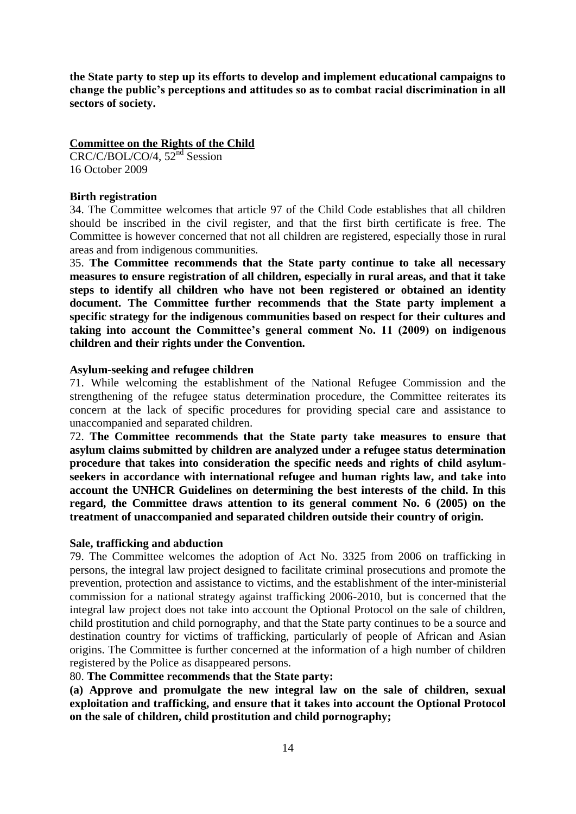**the State party to step up its efforts to develop and implement educational campaigns to change the public's perceptions and attitudes so as to combat racial discrimination in all sectors of society.**

#### **Committee on the Rights of the Child**

CRC/C/BOL/CO/4, 52<sup>nd</sup> Session 16 October 2009

#### **Birth registration**

34. The Committee welcomes that article 97 of the Child Code establishes that all children should be inscribed in the civil register, and that the first birth certificate is free. The Committee is however concerned that not all children are registered, especially those in rural areas and from indigenous communities.

35. **The Committee recommends that the State party continue to take all necessary measures to ensure registration of all children, especially in rural areas, and that it take steps to identify all children who have not been registered or obtained an identity document. The Committee further recommends that the State party implement a specific strategy for the indigenous communities based on respect for their cultures and taking into account the Committee's general comment No. 11 (2009) on indigenous children and their rights under the Convention.** 

#### **Asylum-seeking and refugee children**

71. While welcoming the establishment of the National Refugee Commission and the strengthening of the refugee status determination procedure, the Committee reiterates its concern at the lack of specific procedures for providing special care and assistance to unaccompanied and separated children.

72. **The Committee recommends that the State party take measures to ensure that asylum claims submitted by children are analyzed under a refugee status determination procedure that takes into consideration the specific needs and rights of child asylumseekers in accordance with international refugee and human rights law, and take into account the UNHCR Guidelines on determining the best interests of the child. In this regard, the Committee draws attention to its general comment No. 6 (2005) on the treatment of unaccompanied and separated children outside their country of origin.** 

#### **Sale, trafficking and abduction**

79. The Committee welcomes the adoption of Act No. 3325 from 2006 on trafficking in persons, the integral law project designed to facilitate criminal prosecutions and promote the prevention, protection and assistance to victims, and the establishment of the inter-ministerial commission for a national strategy against trafficking 2006-2010, but is concerned that the integral law project does not take into account the Optional Protocol on the sale of children, child prostitution and child pornography, and that the State party continues to be a source and destination country for victims of trafficking, particularly of people of African and Asian origins. The Committee is further concerned at the information of a high number of children registered by the Police as disappeared persons.

80. **The Committee recommends that the State party:** 

**(a) Approve and promulgate the new integral law on the sale of children, sexual exploitation and trafficking, and ensure that it takes into account the Optional Protocol on the sale of children, child prostitution and child pornography;**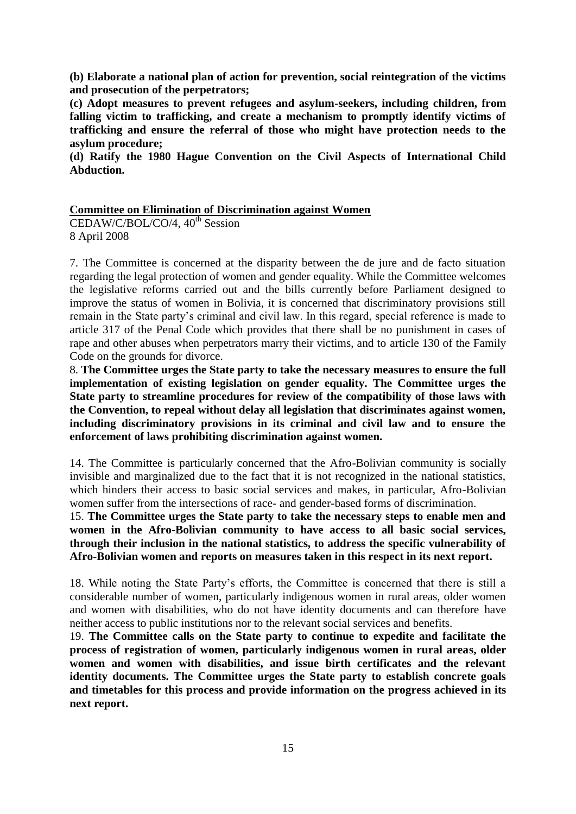**(b) Elaborate a national plan of action for prevention, social reintegration of the victims and prosecution of the perpetrators;** 

**(c) Adopt measures to prevent refugees and asylum-seekers, including children, from falling victim to trafficking, and create a mechanism to promptly identify victims of trafficking and ensure the referral of those who might have protection needs to the asylum procedure;** 

**(d) Ratify the 1980 Hague Convention on the Civil Aspects of International Child Abduction.** 

#### **Committee on Elimination of Discrimination against Women**

CEDAW/C/BOL/CO/4, 40<sup>th</sup> Session 8 April 2008

7. The Committee is concerned at the disparity between the de jure and de facto situation regarding the legal protection of women and gender equality. While the Committee welcomes the legislative reforms carried out and the bills currently before Parliament designed to improve the status of women in Bolivia, it is concerned that discriminatory provisions still remain in the State party's criminal and civil law. In this regard, special reference is made to article 317 of the Penal Code which provides that there shall be no punishment in cases of rape and other abuses when perpetrators marry their victims, and to article 130 of the Family Code on the grounds for divorce.

8. **The Committee urges the State party to take the necessary measures to ensure the full implementation of existing legislation on gender equality. The Committee urges the State party to streamline procedures for review of the compatibility of those laws with the Convention, to repeal without delay all legislation that discriminates against women, including discriminatory provisions in its criminal and civil law and to ensure the enforcement of laws prohibiting discrimination against women.**

14. The Committee is particularly concerned that the Afro-Bolivian community is socially invisible and marginalized due to the fact that it is not recognized in the national statistics, which hinders their access to basic social services and makes, in particular, Afro-Bolivian women suffer from the intersections of race- and gender-based forms of discrimination.

15. **The Committee urges the State party to take the necessary steps to enable men and women in the Afro-Bolivian community to have access to all basic social services, through their inclusion in the national statistics, to address the specific vulnerability of Afro-Bolivian women and reports on measures taken in this respect in its next report.**

18. While noting the State Party's efforts, the Committee is concerned that there is still a considerable number of women, particularly indigenous women in rural areas, older women and women with disabilities, who do not have identity documents and can therefore have neither access to public institutions nor to the relevant social services and benefits.

19. **The Committee calls on the State party to continue to expedite and facilitate the process of registration of women, particularly indigenous women in rural areas, older women and women with disabilities, and issue birth certificates and the relevant identity documents. The Committee urges the State party to establish concrete goals and timetables for this process and provide information on the progress achieved in its next report.**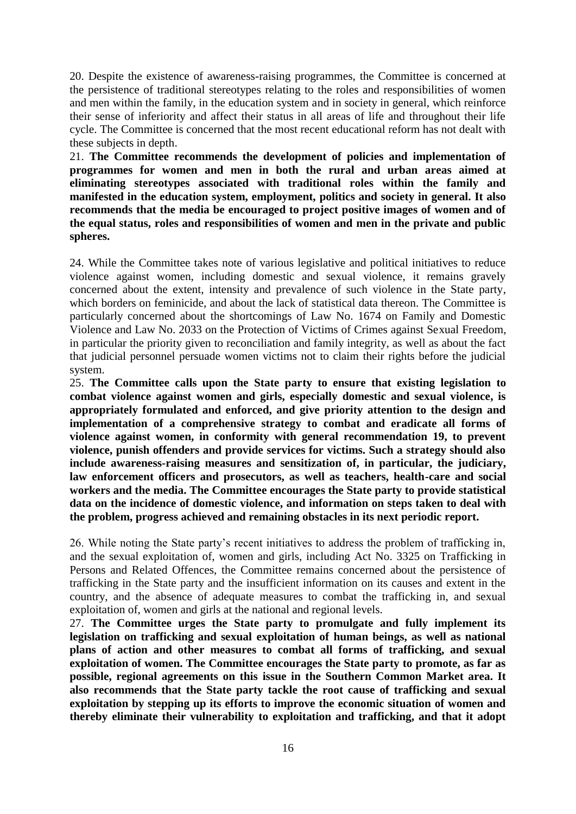20. Despite the existence of awareness-raising programmes, the Committee is concerned at the persistence of traditional stereotypes relating to the roles and responsibilities of women and men within the family, in the education system and in society in general, which reinforce their sense of inferiority and affect their status in all areas of life and throughout their life cycle. The Committee is concerned that the most recent educational reform has not dealt with these subjects in depth.

21. **The Committee recommends the development of policies and implementation of programmes for women and men in both the rural and urban areas aimed at eliminating stereotypes associated with traditional roles within the family and manifested in the education system, employment, politics and society in general. It also recommends that the media be encouraged to project positive images of women and of the equal status, roles and responsibilities of women and men in the private and public spheres.**

24. While the Committee takes note of various legislative and political initiatives to reduce violence against women, including domestic and sexual violence, it remains gravely concerned about the extent, intensity and prevalence of such violence in the State party, which borders on feminicide, and about the lack of statistical data thereon. The Committee is particularly concerned about the shortcomings of Law No. 1674 on Family and Domestic Violence and Law No. 2033 on the Protection of Victims of Crimes against Sexual Freedom, in particular the priority given to reconciliation and family integrity, as well as about the fact that judicial personnel persuade women victims not to claim their rights before the judicial system.

25. **The Committee calls upon the State party to ensure that existing legislation to combat violence against women and girls, especially domestic and sexual violence, is appropriately formulated and enforced, and give priority attention to the design and implementation of a comprehensive strategy to combat and eradicate all forms of violence against women, in conformity with general recommendation 19, to prevent violence, punish offenders and provide services for victims. Such a strategy should also include awareness-raising measures and sensitization of, in particular, the judiciary, law enforcement officers and prosecutors, as well as teachers, health-care and social workers and the media. The Committee encourages the State party to provide statistical data on the incidence of domestic violence, and information on steps taken to deal with the problem, progress achieved and remaining obstacles in its next periodic report.**

26. While noting the State party's recent initiatives to address the problem of trafficking in, and the sexual exploitation of, women and girls, including Act No. 3325 on Trafficking in Persons and Related Offences, the Committee remains concerned about the persistence of trafficking in the State party and the insufficient information on its causes and extent in the country, and the absence of adequate measures to combat the trafficking in, and sexual exploitation of, women and girls at the national and regional levels.

27. **The Committee urges the State party to promulgate and fully implement its legislation on trafficking and sexual exploitation of human beings, as well as national plans of action and other measures to combat all forms of trafficking, and sexual exploitation of women. The Committee encourages the State party to promote, as far as possible, regional agreements on this issue in the Southern Common Market area. It also recommends that the State party tackle the root cause of trafficking and sexual exploitation by stepping up its efforts to improve the economic situation of women and thereby eliminate their vulnerability to exploitation and trafficking, and that it adopt**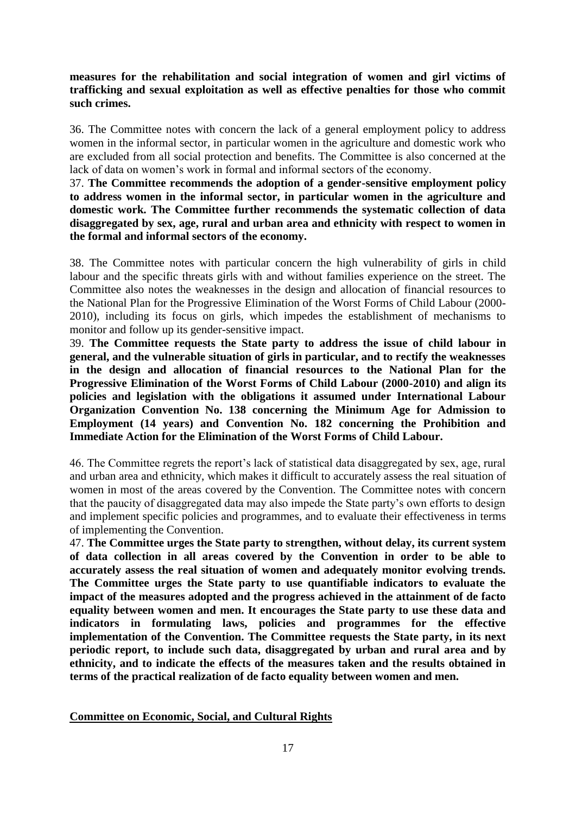**measures for the rehabilitation and social integration of women and girl victims of trafficking and sexual exploitation as well as effective penalties for those who commit such crimes.**

36. The Committee notes with concern the lack of a general employment policy to address women in the informal sector, in particular women in the agriculture and domestic work who are excluded from all social protection and benefits. The Committee is also concerned at the lack of data on women's work in formal and informal sectors of the economy.

37. **The Committee recommends the adoption of a gender-sensitive employment policy to address women in the informal sector, in particular women in the agriculture and domestic work. The Committee further recommends the systematic collection of data disaggregated by sex, age, rural and urban area and ethnicity with respect to women in the formal and informal sectors of the economy.**

38. The Committee notes with particular concern the high vulnerability of girls in child labour and the specific threats girls with and without families experience on the street. The Committee also notes the weaknesses in the design and allocation of financial resources to the National Plan for the Progressive Elimination of the Worst Forms of Child Labour (2000- 2010), including its focus on girls, which impedes the establishment of mechanisms to monitor and follow up its gender-sensitive impact.

39. **The Committee requests the State party to address the issue of child labour in general, and the vulnerable situation of girls in particular, and to rectify the weaknesses in the design and allocation of financial resources to the National Plan for the Progressive Elimination of the Worst Forms of Child Labour (2000-2010) and align its policies and legislation with the obligations it assumed under International Labour Organization Convention No. 138 concerning the Minimum Age for Admission to Employment (14 years) and Convention No. 182 concerning the Prohibition and Immediate Action for the Elimination of the Worst Forms of Child Labour.**

46. The Committee regrets the report's lack of statistical data disaggregated by sex, age, rural and urban area and ethnicity, which makes it difficult to accurately assess the real situation of women in most of the areas covered by the Convention. The Committee notes with concern that the paucity of disaggregated data may also impede the State party's own efforts to design and implement specific policies and programmes, and to evaluate their effectiveness in terms of implementing the Convention.

47. **The Committee urges the State party to strengthen, without delay, its current system of data collection in all areas covered by the Convention in order to be able to accurately assess the real situation of women and adequately monitor evolving trends. The Committee urges the State party to use quantifiable indicators to evaluate the impact of the measures adopted and the progress achieved in the attainment of de facto equality between women and men. It encourages the State party to use these data and indicators in formulating laws, policies and programmes for the effective implementation of the Convention. The Committee requests the State party, in its next periodic report, to include such data, disaggregated by urban and rural area and by ethnicity, and to indicate the effects of the measures taken and the results obtained in terms of the practical realization of de facto equality between women and men.**

#### **Committee on Economic, Social, and Cultural Rights**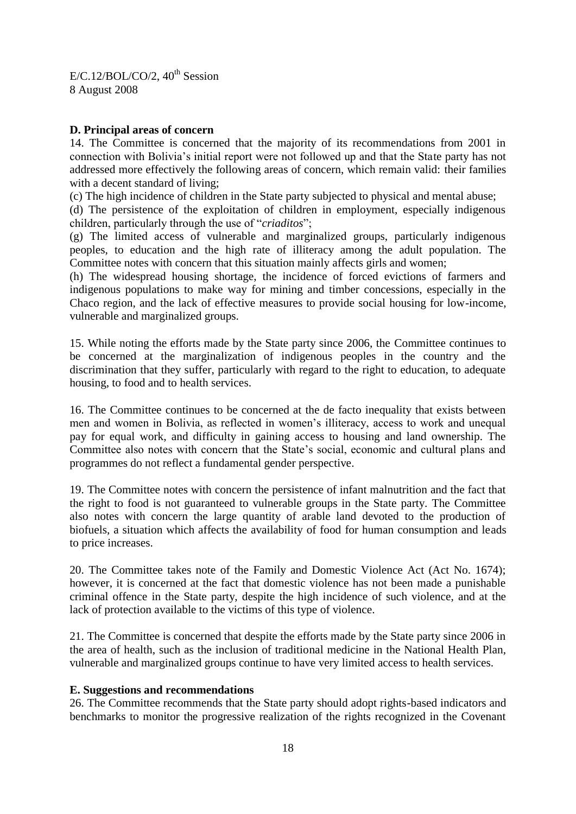$E/C.12/BOL/CO/2, 40<sup>th</sup> Session$ 8 August 2008

## **D. Principal areas of concern**

14. The Committee is concerned that the majority of its recommendations from 2001 in connection with Bolivia's initial report were not followed up and that the State party has not addressed more effectively the following areas of concern, which remain valid: their families with a decent standard of living;

(c) The high incidence of children in the State party subjected to physical and mental abuse;

(d) The persistence of the exploitation of children in employment, especially indigenous children, particularly through the use of "*criaditos*";

(g) The limited access of vulnerable and marginalized groups, particularly indigenous peoples, to education and the high rate of illiteracy among the adult population. The Committee notes with concern that this situation mainly affects girls and women;

(h) The widespread housing shortage, the incidence of forced evictions of farmers and indigenous populations to make way for mining and timber concessions, especially in the Chaco region, and the lack of effective measures to provide social housing for low-income, vulnerable and marginalized groups.

15. While noting the efforts made by the State party since 2006, the Committee continues to be concerned at the marginalization of indigenous peoples in the country and the discrimination that they suffer, particularly with regard to the right to education, to adequate housing, to food and to health services.

16. The Committee continues to be concerned at the de facto inequality that exists between men and women in Bolivia, as reflected in women's illiteracy, access to work and unequal pay for equal work, and difficulty in gaining access to housing and land ownership. The Committee also notes with concern that the State's social, economic and cultural plans and programmes do not reflect a fundamental gender perspective.

19. The Committee notes with concern the persistence of infant malnutrition and the fact that the right to food is not guaranteed to vulnerable groups in the State party. The Committee also notes with concern the large quantity of arable land devoted to the production of biofuels, a situation which affects the availability of food for human consumption and leads to price increases.

20. The Committee takes note of the Family and Domestic Violence Act (Act No. 1674); however, it is concerned at the fact that domestic violence has not been made a punishable criminal offence in the State party, despite the high incidence of such violence, and at the lack of protection available to the victims of this type of violence.

21. The Committee is concerned that despite the efforts made by the State party since 2006 in the area of health, such as the inclusion of traditional medicine in the National Health Plan, vulnerable and marginalized groups continue to have very limited access to health services.

## **E. Suggestions and recommendations**

26. The Committee recommends that the State party should adopt rights-based indicators and benchmarks to monitor the progressive realization of the rights recognized in the Covenant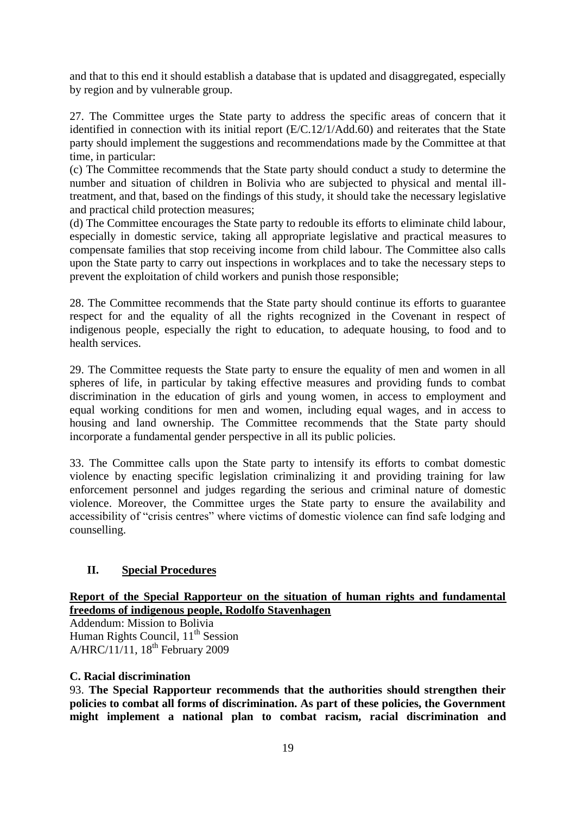and that to this end it should establish a database that is updated and disaggregated, especially by region and by vulnerable group.

27. The Committee urges the State party to address the specific areas of concern that it identified in connection with its initial report (E/C.12/1/Add.60) and reiterates that the State party should implement the suggestions and recommendations made by the Committee at that time, in particular:

(c) The Committee recommends that the State party should conduct a study to determine the number and situation of children in Bolivia who are subjected to physical and mental illtreatment, and that, based on the findings of this study, it should take the necessary legislative and practical child protection measures;

(d) The Committee encourages the State party to redouble its efforts to eliminate child labour, especially in domestic service, taking all appropriate legislative and practical measures to compensate families that stop receiving income from child labour. The Committee also calls upon the State party to carry out inspections in workplaces and to take the necessary steps to prevent the exploitation of child workers and punish those responsible;

28. The Committee recommends that the State party should continue its efforts to guarantee respect for and the equality of all the rights recognized in the Covenant in respect of indigenous people, especially the right to education, to adequate housing, to food and to health services.

29. The Committee requests the State party to ensure the equality of men and women in all spheres of life, in particular by taking effective measures and providing funds to combat discrimination in the education of girls and young women, in access to employment and equal working conditions for men and women, including equal wages, and in access to housing and land ownership. The Committee recommends that the State party should incorporate a fundamental gender perspective in all its public policies.

33. The Committee calls upon the State party to intensify its efforts to combat domestic violence by enacting specific legislation criminalizing it and providing training for law enforcement personnel and judges regarding the serious and criminal nature of domestic violence. Moreover, the Committee urges the State party to ensure the availability and accessibility of "crisis centres" where victims of domestic violence can find safe lodging and counselling.

## **II. Special Procedures**

## **Report of the Special Rapporteur on the situation of human rights and fundamental freedoms of indigenous people, Rodolfo Stavenhagen**

Addendum: Mission to Bolivia Human Rights Council,  $11<sup>th</sup>$  Session A/HRC/11/11, 18<sup>th</sup> February 2009

## **C. Racial discrimination**

93. **The Special Rapporteur recommends that the authorities should strengthen their policies to combat all forms of discrimination. As part of these policies, the Government might implement a national plan to combat racism, racial discrimination and**